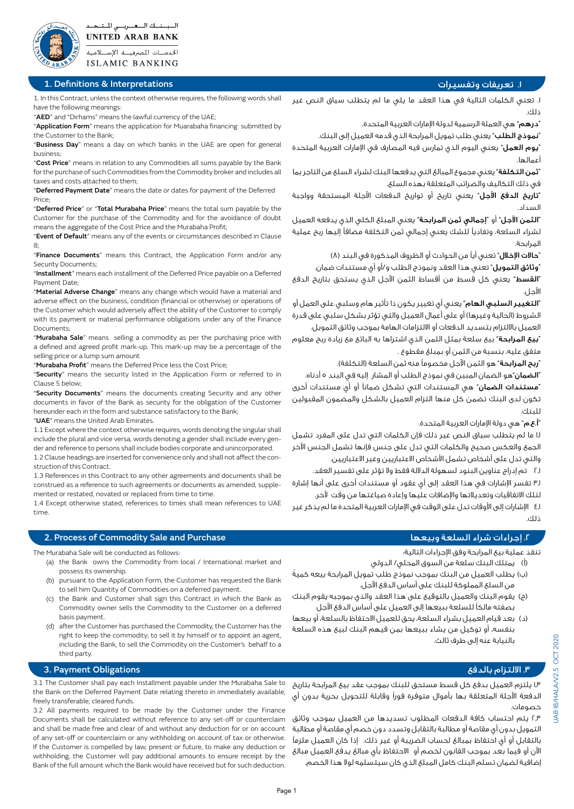

السبسنسك السعسريسي للستنحسد **UNITED ARAB BANK** الخدمسات المصرفيسة الإسسلامية **ISLAMIC BANKING** 

### .1 تعريفات وتفسيرات Interpretations & Definitions 1.

1. In this Contract, unless the context otherwise requires, the following words shall have the following meanings:

"AED" and "Dirhams" means the lawful currency of the UAE;

"Application Form" means the application for Muarabaha financing submitted by the Customer to the Bank;

"Business Day" means a day on which banks in the UAE are open for general ;business

"Cost Price" means in relation to any Commodities all sums payable by the Bank for the purchase of such Commodities from the Commodity broker and includes all taxes and costs attached to them:

"Deferred Payment Date" means the date or dates for payment of the Deferred Price:

"Deferred Price" or "Total Murabaha Price" means the total sum payable by the Customer for the purchase of the Commodity and for the avoidance of doubt means the aggregate of the Cost Price and the Murabaha Profit;

"Event of Default" means any of the events or circumstances described in Clause  $8$ :

"Finance Documents" means this Contract, the Application Form and/or any Security Documents:

"Installment" means each installment of the Deferred Price payable on a Deferred Payment Date;

"Material Adverse Change" means any change which would have a material and adverse effect on the business, condition (financial or otherwise) or operations of the Customer which would adversely affect the ability of the Customer to comply with its payment or material performance obligations under any of the Finance Documents;

"Murabaha Sale" means selling a commodity as per the purchasing price with a defined and agreed profit mark-up. This mark-up may be a percentage of the selling price or a lump sum amount

"Murabaha Profit" means the Deferred Price less the Cost Price;

"Security" means the security listed in the Application Form or referred to in Clause 5 below:

"Security Documents" means the documents creating Security and any other documents in favor of the Bank as security for the obligation of the Customer hereunder each in the form and substance satisfactory to the Bank;

"UAE" means the United Arab Emirates.

1.1 Except where the context otherwise requires, words denoting the singular shall include the plural and vice versa, words denoting a gender shall include every gen-<br>der and reference to persons shall include bodies corporate and unincorporated.

1.2 Clause headings are inserted for convenience only and shall not affect the con-<br>struction of this Contract.

1.3 References in this Contract to any other agreements and documents shall be construed as a reference to such agreements or documents as amended, supple-<br>mented or restated, novated or replaced from time to time.

1.4 Except otherwise stated, references to times shall mean references to UAE time.

## ا. إجراءات شراء السلعة وبيعها السلعة وبيعها السلعة وبيعها المسلمة المسلمة المسلمة المسلمة وبيعها مسلمة وبيعها

The Murabaha Sale will be conducted as follows:

- (a) the Bank owns the Commodity from local / International market and possess its ownership.
- (b) pursuant to the Application Form, the Customer has requested the Bank to sell him Quantity of Commodities on a deferred payment.
- (c) the Bank and Customer shall sign this Contract in which the Bank as Commodity owner sells the Commodity to the Customer on a deferred basis payment.
- (d) after the Customer has purchased the Commodity, the Customer has the right to keep the commodity; to sell it by himself or to appoint an agent, including the Bank, to sell the Commodity on the Customer's behalf to a third party.

### "يوم العمل" يعني اليوم الذي تمارس فيه المصارف في اإلمارات العربية المتحدة أعمالها.

ذلك.

"ثمن التكلفة" يعني مجموع المبالغ التي يدفعها البنك لشراء السلع من التاجر بما في ذلك التكاليف والضرائب المتعلقة بهذه السلع.

"نموذج الطلب" يعني طلب تمويل المرابحة الذي قدمه العميل إلى البنك.

.1 تعني الكلمات التالية في هذا العقد ما يلي ما لم يتطلب سياق النص غير

"تاريخ الدفع اآلجل" يعني تاريخ أو تواريخ الدفعات اآلجلة المستحقة وواجبة السداد.

"الثمن اآلجل" أو "إجمالي ثمن المرابحة" يعني المبلغ الكلي الذي يدفعه العميل لشراء السلعة، وتفاديًا للشك يعني إجمالي ثمن التكلفة مضافًا إليها ربح عملية المرابحة.

"حاالت اإلخالل" تعني أيًا من الحوادث أو الظروف المذكورة في البند )8(

"وثائق التمويل" تعني هذا العقد ونموذج الطلب و/أو أي مستندات ضمان.

"القسط" يعني كل قسط من أقساط الثمن اآلجل الذي يستحق بتاريخ الدفع الآجل.

"التغيير السلبي الهام" يعني أي تغيير يكون ذا تأثير هام وسلبي على العمل أو الشروط (الحالية وغيرها) أو على أعمال العميل والتي تؤثر بشكل سلبي على قدرة العميل بااللتزام بتسديد الدفعات أو االلتزامات الهامة بموجب وثائق التمويل.

"بيع المرابحة" بيع سلعة بمثل الثمن الذي اشتراها به البائع مع زيادة ربح معلوم متفق عليه، بنسبة من الثمن أو بمبلغ مقطوع .

ّ**ربح المرابحة**" هو الثمن الآجل مخصوماً منه ثمن السلعة (التكلفة).

"الضمان"هو الضمان المبين في نموذج الطلب أو المشار إليه في البند 5 أدناه.

"مستندات الضمان" هي المستندات التي تشكل ضمانًا أو أي مستندات أخرى تكون لدى البنك تضمن كل منها التزام العميل بالشكل والمضمون المقبولين للبنك.

"أ.ع.م" هي دولة اإلمارات العربية المتحدة.

1.1 ما لم يتطلب سياق النص غير ذلك فإن الكلمات التي تدل على المفرد تشمل الجمع والعكس صحيح والكلمات التي تدل على جنس فإنها تشمل الجنس اآلخر والتي تدل على أشخاص تشمل األشخاص االعتباريين وغير االعتباريين.

2.1 تم إدراج عناوين البنود لسهولة الداللة فقط وال تؤثر على تفسير العقد.

3.1 تفسر اإلشارات في هذا العقد إلى أي عقود أو مستندات أخرى على أنها إشارة لتلك االتفاقيات وتعديالتها واإلضافات عليها وإعادة صياغتها من وقت آلخر.

4.1 اإلشارات إلى األوقات تدل على الوقت في اإلمارات العربية المتحدة ما لم يذكر غير ذلك.

تنفذ عملية بيع المرابحة وفق اإلجراءات التالية:

- )أ( يمتلك البنك سلعة من السوق المحلي/ الدولي
- )ب( ً يطلب العميل من البنك بموجب نموذج طلب تمويل المرابحة بيعه كمية من السلع المملوكة للبنك على أساس الدفع اآلجل.
- )ج( يقوم البنك والعميل بالتوقيع على هذا العقد والذي بموجبه يقوم البنك بصفته مالكًا للسلعة ببيعها إلى العميل على أساس الدفع اآلجل
- )د( بعد قيام العميل بشراء السلعة، يحق للعميل االحتفاظ بالسلعة، أو بيعها بنفسه، أو توكيل من يشاء ببيعها بمن فيهم البنك لبيع هذه السلعة بالنيابة عنه إلى طرف ثالث.

3.1 The Customer shall pay each Installment payable under the Murabaha Sale to the Bank on the Deferred Payment Date relating thereto in immediately available, freely transferable, cleared funds.

3.2 All payments required to be made by the Customer under the Finance Documents shall be calculated without reference to any set-off or counterclaim and shall be made free and clear of and without any deduction for or on account of any set-off or counterclaim or any withholding on account of tax or otherwise. If the Customer is compelled by law, present or future, to make any deduction or withholding, the Customer will pay additional amounts to ensure receipt by the Bank of the full amount which the Bank would have received but for such deduction.

# .3 االلتزام بالدفع Obligations Payment 3.

1.3 يلتزم العميل بدفع كل قسط مستحق للبنك بموجب عقد بيع المرابحة بتاريخ الدفعة اآلجلة المتعلقة بها بأموال متوفرة فورًا وقابلة للتحويل بحرية بدون أي خصومات.

2.3 يتم احتساب كافة الدفعات المطلوب تسديدها من العميل بموجب وثائق التمويل بدون أي مقاصة أو مطالبة بالتقابل وتسدد دون خصم أي مقاصة أو مطالبة بالتقابل أو أي احتفاظ بمبالغ لحساب الضريبة أو غير ذلك. إذا كان العميل ملزمًا اآلن أو فيما بعد بموجب القانون لخصم أو االحتفاظ بأي مبالغ يدفع العميل مبالغ إضافية لضمان تسلم البنك كامل المبلغ الذي كان سيتسلمه لوال هذا الخصم.

"درهم" هي العملة الرسمية لدولة اإلمارات العربية المتحدة.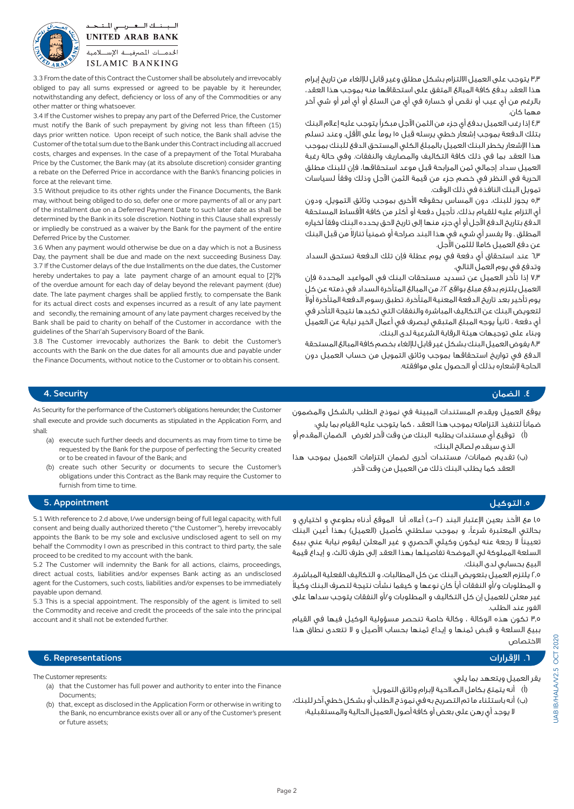السبسنسك السعسريسي المستبحد **UNITED ARAB BANK** الخدمسات المصرفيسة الإستسلامية **ISLAMIC BANKING** 

other matter or thing whatsoever.

force at the relevant time.

Deferred Price by the Customer.

3.3 From the date of this Contract the Customer shall be absolutely and irrevocably obliged to pay all sums expressed or agreed to be payable by it hereunder, notwithstanding any defect, deficiency or loss of any of the Commodities or any

3.4 If the Customer wishes to prepay any part of the Deferred Price, the Customer must notify the Bank of such prepayment by giving not less than fifteen (15) days prior written notice. Upon receipt of such notice, the Bank shall advise the Customer of the total sum due to the Bank under this Contract including all accrued costs, charges and expenses. In the case of a prepayment of the Total Murabaha Price by the Customer, the Bank may (at its absolute discretion) consider granting a rebate on the Deferred Price in accordance with the Bank's financing policies in

3.5 Without prejudice to its other rights under the Finance Documents, the Bank may, without being obliged to do so, defer one or more payments of all or any part of the installment due on a Deferred Payment Date to such later date as shall be determined by the Bank in its sole discretion. Nothing in this Clause shall expressly or impliedly be construed as a waiver by the Bank for the payment of the entire

3.6 When any payment would otherwise be due on a day which is not a Business Day, the payment shall be due and made on the next succeeding Business Day. 3.7 If the Customer delays of the due Installments on the due dates, the Customer hereby undertakes to pay a late payment charge of an amount equal to [2]% of the overdue amount for each day of delay beyond the relevant payment (due) date. The late payment charges shall be applied firstly, to compensate the Bank for its actual direct costs and expenses incurred as a result of any late payment and secondly, the remaining amount of any late payment charges received by the Bank shall be paid to charity on behalf of the Customer in accordance with the

guidelines of the Shari'ah Supervisory Board of the Bank.

3.3 يتوجب على العميل االلتزام بشكل مطلق وغير قابل لإللغاء من تاريخ إبرام هذا العقد بدفع كافة المبالغ المتفق على استحقاقها منه بموجب هذا العقد، بالرغم من أي عيب أو نقص أو خسارة في أي من السلع أو أي أمر أو شي آخر مهما كان.

4.3 إذا رغب العميل بدفع أي جزء من الثمن اآلجل مبكرًا يتوجب عليه إعالم البنك بتلك الدفعة بموجب إشعار خطي يرسله قبل 15 يومًا على األقل، وعند تسلم هذا اإلشعار يخطر البنك العميل بالمبلغ الكلي المستحق الدفع للبنك بموجب هذا العقد بما في ذلك كافة التكاليف والمصاريف والنفقات. وفي حالة رغبة العميل سداد إجمالي ثمن المرابحة قبل موعد استحقاقها، فإن للبنك مطلق الحرية في النظر في خصم جزء من قيمة الثمن اآلجل وذلك وفقًا لسياسات تمويل البنك النافذة في ذلك الوقت.

5.3 يجوز للبنك، دون المساس بحقوقه األخرى بموجب وثائق التمويل، ودون أي التزام عليه للقيام بذلك، تأجيل دفعة أو أكثر من كافة األقساط المستحقة الدفع بتاريخ الدفع اآلجل أو أي جزء منها إلى تاريخ الحق يحدده البنك وفقًا لخياره المطلق . ولا يفسر أي شيء في هذا البند صراحة أو ضمنياً تنازلا من قبل البنك عن دفع العميل كامال للثمن اآلجل.

6.3 عند استحقاق أي دفعة في يوم عطلة فإن تلك الدفعة تستحق السداد وتدفع في يوم العمل التالي.

7.3 إذا تأخر العميل عن تسديد مستحقات البنك في المواعيد المحددة فإن العميل يلتزم بدفع مبلغ بواقع ٢٪ من المبالغ المتأخرة السداد في ذمته عن كل ً يوم تأخير بعد تاريخ الدفعة المعنية المتأخرة. تطبق رسوم الدفعة المتأخرة أوال لتعويض البنك عن التكاليف المباشرة والنفقات التي تكبدها نتيجة التأخر في أي دفعة ، ثانيًا يوجه المبلغ المتبقي ليصرف في أعمال الخير نيابة عن العميل وبناء على توجيهات هيئة الرقابة الشرعية لدى البنك.

8.3 يفوض العميل البنك بشكل غير قابل لإللغاء بخصم كافة المبالغ المستحقة الدفع في تواريخ استحقاقها بموجب وثائق التمويل من حساب العميل دون الحاجة إلشعاره بذلك أو الحصول على موافقته.

## .4 الضمان Security 4.

As Security for the performance of the Customer's obligations hereunder, the Customer shall execute and provide such documents as stipulated in the Application Form, and :shall

3.8 The Customer irrevocably authorizes the Bank to debit the Customer's accounts with the Bank on the due dates for all amounts due and payable under the Finance Documents, without notice to the Customer or to obtain his consent.

- (a) execute such further deeds and documents as may from time to time be requested by the Bank for the purpose of perfecting the Security created or to be created in favour of the Bank; and
- (b) create such other Security or documents to secure the Customer's obligations under this Contract as the Bank may require the Customer to furnish from time to time.

يوقع العميل ويقدم المستندات المبينة في نموذج الطلب بالشكل والمضمون ضمانًا لتنفيذ التزاماته بموجب هذا العقد ، كما يتوجب عليه القيام بما يلي:

- )أ( توقيع أي مستندات يطلبه البنك من وقت آلخر لغرض الضمان المقدم أو الذي سيقدم لصالح البنك؛
- )ب( تقديم ضمانات/ مستندات أخرى لضمان التزامات العميل بموجب هذا العقد كما يطلب البنك ذلك من العميل من وقت آلخر.

### .5 التوكيل Appointment 5.

5.1 With reference to 2.d above, I/we undersign being of full legal capacity, with full consent and being dually authorized thereto ("the Customer"), hereby irrevocably appoints the Bank to be my sole and exclusive undisclosed agent to sell on my behalf the Commodity I own as prescribed in this contract to third party, the sale proceed to be credited to my account with the bank.

5.2 The Customer will indemnity the Bank for all actions, claims, proceedings direct actual costs, liabilities and/or expenses Bank acting as an undisclosed agent for the Customers, such costs, liabilities and/or expenses to be immediately payable upon demand.

5.3 This is a special appointment. The responsibly of the agent is limited to sell the Commodity and receive and credit the proceeds of the sale into the principal account and it shall not be extended further.

1.5 مع األخذ بعين اإلعتبار البند )-2د( أعاله، أنا الموقع أدناه بطوعي و اختياري و بحالتي المعتبرة شرعاً، و بموجب سلطتي كأصيل (العميل) بهذا أعين البنك تعيينًا ال رجعة عنه ليكون وكيلي الحصري و غير المعلن ليقوم نيابة عني ببيع السلعة المملوكة لي الموضحة تفاصيلها بهذا العقد إلى طرف ثالث، و إيداع قيمة البيع بحسابي لدى البنك.

2.5 يلتزم العميل بتعويض البنك عن كل المطالبات، و التكاليف الفعلية المباشرة، ً و المطلوبات و/أو النفقات أيًا كان نوعها و كيفما نشأت نتيجة لتصرف البنك وكيال غير معلن للعميل إن كل التكاليف و المطلوبات و/أو النفقات يتوجب سداها على الفور عند الطلب.

3.5 تكون هذه الوكالة ، وكالة خاصة تنحصر مسؤولية الوكيل فيها في القيام ببيع السلعة و قبض ثمنها و إيداع ثمنها بحساب األصيل و ال تتعدى نطاق هذا االختصاص

### .6 اإلقرارات Representations 6.

The Customer represents:

- (a) that the Customer has full power and authority to enter into the Finance Documents
- (b) that, except as disclosed in the Application Form or otherwise in writing to the Bank, no encumbrance exists over all or any of the Customer's present or future assets:

### يقر العميل ويتعهد بما يلي:

- )أ( أنه يتمتع بكامل الصالحية إلبرام وثائق التمويل؛
- )ب( أنه باستثناء ما تم التصريح به في نموذج الطلب أو بشكل خطي آخر للبنك، ال يوجد أي رهن على بعض أو كافة أصول العميل الحالية والمستقبلية؛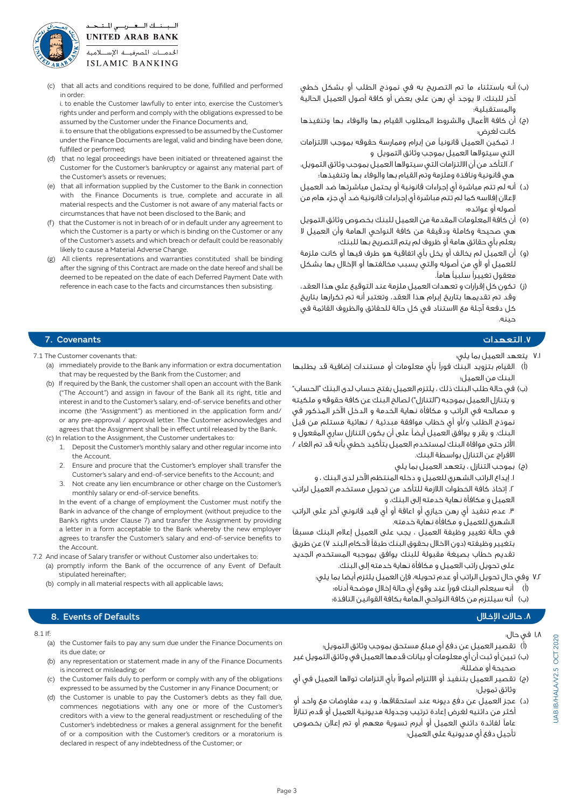

(c) that all acts and conditions required to be done, fulfilled and performed in order:

i. to enable the Customer lawfully to enter into, exercise the Customer's rights under and perform and comply with the obligations expressed to be assumed by the Customer under the Finance Documents and.

ii. to ensure that the obligations expressed to be assumed by the Customer under the Finance Documents are legal, valid and binding have been done, fulfilled or performed;

- (d) that no legal proceedings have been initiated or threatened against the Customer for the Customer's bankruptcy or against any material part of the Customer's assets or revenues;
- (e) that all information supplied by the Customer to the Bank in connection with the Finance Documents is true, complete and accurate in all material respects and the Customer is not aware of any material facts or circumstances that have not been disclosed to the Bank; and
- (f) that the Customer is not in breach of or in default under any agreement to which the Customer is a party or which is binding on the Customer or any of the Customer's assets and which breach or default could be reasonably likely to cause a Material Adverse Change.
- (g) All clients representations and warranties constituted shall be binding after the signing of this Contract are made on the date hereof and shall be deemed to be repeated on the date of each Deferred Payment Date with reference in each case to the facts and circumstances then subsisting.
- )ب( أنه باستثناء ما تم التصريح به في نموذج الطلب أو بشكل خطي آخر للبنك، ال يوجد أي رهن على بعض أو كافة أصول العميل الحالية والمستقبلية؛
- (ج) أن كافة الأعمال والشروط المطلوب القيام بها والوفاء بها وتنفيذها كانت لغرض:

.١ تمكين العميل قانونيًا من إبرام وممارسة حقوقه بموجب االلتزامات التي سيتوالها العميل بموجب وثائق التمويل و

.٢ التأكد من أن االلتزامات التي سيتوالها العميل بموجب وثائق التمويل، هي قانونية ونافذة وملزمة وتم القيام بها والوفاء بها وتنفيذها؛

- )د( أنه لم تتم مباشرة أي إجراءات قانونية أو يحتمل مباشرتها ضد العميل إلعالن إفالسه كما لم تتم مباشرة أي إجراءات قانونية ضد أي جزء هام من أصوله أو عوائده؛
- )5( أن كافة المعلومات المقدمة من العميل للبنك بخصوص وثائق التمويل هي صحيحة وكاملة ودقيقة من كافة النواحي الهامة وأن العميل ال يعلم بأي حقائق هامة أو ظروف لم يتم التصريح بها للبنك؛
- )و( أن العميل لم يخالف أو يخل بأي اتفاقية هو طرف فيها أو كانت ملزمة للعميل أو لأى من أصوله والتي يسبب مخالفتها أو الإخلال بها بشكل معقول تغييرًا سلبيًا هامًا.
- )ز( تكون كل إقرارات و تعهدات العميل ملزمة عند التوقيع على هذا العقد، وقد تم تقديمها بتاريخ إبرام هذا العقد، وتعتبر أنه تم تكرارها بتاريخ كل دفعة آجلة مع االستناد في كل حالة للحقائق والظروف القائمة في حينه.

## .7 التعهدات Covenants 7.

# ٧.١ يتعهد العميل بما يلي:

- )أ( القيام بتزويد البنك فورًا بأي معلومات أو مستندات إضافية قد يطلبها البنك من العميل؛
- )ب( في حالة طلب البنك ذلك ، يلتزم العميل بفتح حساب لدى البنك "الحساب" و يتنازل العميل بموجبه ("التنازل") لصالح البنك عن كافة حقوقه و ملكيته و مصالحه في الراتب و مكافأة نهاية الخدمة و الدخل اآلخر المذكور في نموذج الطلب و/أو أي خطاب موافقة مبدئية / نهائية مستلم من قبل البنك. و يقر و يوافق العميل أيضًا على أن يكون التنازل ساري المفعول و األثر حتى موافاة البنك لمستخدم العميل بتأكيد خطي بأنه قد تم الغاء / االفراج عن التنازل بواسطة البنك.
	- )ج( بموجب التنازل ، يتعهد العميل بما يلي .1 إيداع الراتب الشهري للعميل و دخله المنتظم اآلخر لدى البنك ، و

.2 إتخاذ كافة الخطوات الالزمة للتأكد من تحويل مستخدم العميل لراتب العميل و مكافأة نهاية خدمته إلى البنك، و

.3 عدم تنفيذ أي رهن حيازي أو اعاقة أو أي قيد قانوني آخر على الراتب الشهري للعميل و مكافأة نهاية خدمته.

 في حالة تغيير وظيفة العميل ، يجب على العميل إعالم البنك مسبقًا بتغيير وظيفته (دون الاخلال بحقوق البنك طبقاً لأحكام البند ٧) عن طريق تقديم خطاب بصيغة مقبولة للبنك يوافق بموجبه المستخدم الجديد على تحويل راتب العميل و مكافأة نهاية خدمته إلى البنك.

- 7.2 وفي حال تحويل الراتب أو عدم تحويله، فإن العميل يلتزم أيضا بما يلي: )أ( أنه سيعلم البنك فورًا عند وقوع أي حالة إخالل موضحة أدناه؛
	- )ب( أنه سيلتزم من كافة النواحي الهامة بكافة القوانين النافذة؛

## .8. Events of Defaults مالات الإخلال المستخدم المستخدم المستخدم العالمية المستخدم العالمية المستخدم العالمية ا

### $8.1$  If

- (a) the Customer fails to pay any sum due under the Finance Documents on its due date; or
- (b) any representation or statement made in any of the Finance Documents is incorrect or misleading; or
- (c) the Customer fails duly to perform or comply with any of the obligations expressed to be assumed by the Customer in any Finance Document; or
- (d) the Customer is unable to pay the Customer's debts as they fall due, commences negotiations with any one or more of the Customer's creditors with a view to the general readjustment or rescheduling of the Customer's indebtedness or makes a general assignment for the benefit of or a composition with the Customer's creditors or a moratorium is declared in respect of any indebtedness of the Customer; or

### 1.8 في حال:

- )أ( تقصير العميل عن دفع أي مبلغ مستحق بموجب وثائق التمويل؛
- )ب( تبين أو ثبت أن أي معلومات أو بيانات قدمها العميل في وثائق التمويل غير صحيحة أو مضللة؛
- (ج) تقصير العميل بتنفيذ أو الالتزام أصولا بأي التزامات تولاها العميل في أي وثائق تمويل؛
- )د( عجز العميل عن دفع ديونه عند استحقاقها، و بدء مفاوضات مع واحد أو أكثر من دائنيه لغرض إعادة ترتيب وجدولة مديونية العميل أو قدم تنازلاً<br>عاماً لفائدة دائني العميل أو أبرم تسوية معهم أو تم إعلان بخصوص تأجيل دفع أي مديونية على العميل؛

- 7.1 The Customer covenants that:
	- (a) immediately provide to the Bank any information or extra documentation that may be requested by the Bank from the Customer; and
	- (b) If required by the Bank, the customer shall open an account with the Bank ("The Account") and assign in favour of the Bank all its right, title and interest in and to the Customer's salary, end-of-service benefits and other income (the "Assignment") as mentioned in the application form and/ or any pre-approval / approval letter. The Customer acknowledges and agrees that the Assignment shall be in effect until released by the Bank. (c) In relation to the Assignment, the Customer undertakes to:
	- 1. Deposit the Customer's monthly salary and other regular income into
	- the Account.
	- 2. Ensure and procure that the Customer's employer shall transfer the Customer's salary and end-of-service benefits to the Account; and 3. Not create any lien encumbrance or other charge on the Customer's
	- monthly salary or end-of-service benefits. In the event of a change of employment the Customer must notify the

Bank in advance of the change of employment (without prejudice to the Bank's rights under Clause 7) and transfer the Assignment by providing a letter in a form acceptable to the Bank whereby the new employer agrees to transfer the Customer's salary and end-of-service benefits to the Account.

7.2 And incase of Salary transfer or without Customer also undertakes to:

- (a) promptly inform the Bank of the occurrence of any Event of Default stipulated hereinafter;
- (b) comply in all material respects with all applicable laws;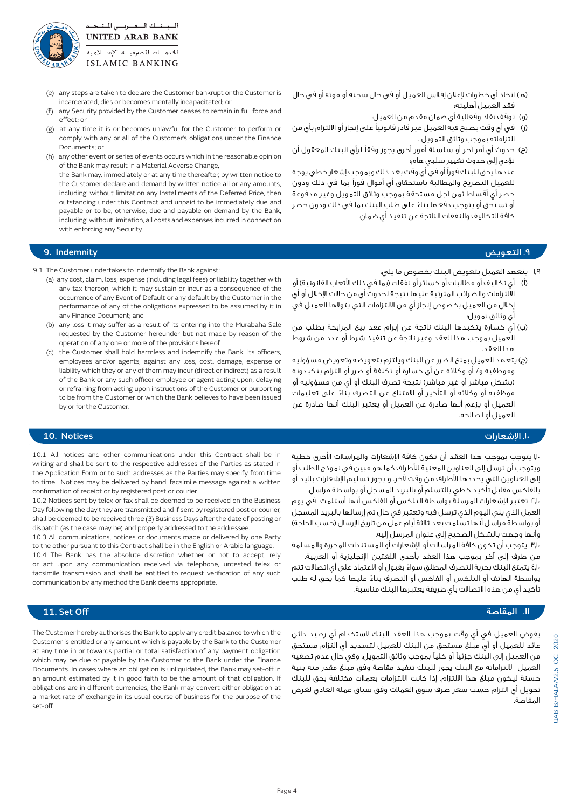

- (e) any steps are taken to declare the Customer bankrupt or the Customer is incarcerated, dies or becomes mentally incapacitated; or
- (f) any Security provided by the Customer ceases to remain in full force and effect: or
- (g) at any time it is or becomes unlawful for the Customer to perform or comply with any or all of the Customer's obligations under the Finance Documents; or
- (h) any other event or series of events occurs which in the reasonable opinion of the Bank may result in a Material Adverse Change,

the Bank may, immediately or at any time thereafter, by written notice to the Customer declare and demand by written notice all or any amounts. including, without limitation any Installments of the Deferred Price, then outstanding under this Contract and unpaid to be immediately due and payable or to be, otherwise, due and payable on demand by the Bank. including, without limitation, all costs and expenses incurred in connection with enforcing any Security.

## .9 التعويض Indemnity 9.

- 9.1 The Customer undertakes to indemnify the Bank against:
	- (a) any cost, claim, loss, expense (including legal fees) or liability together with any tax thereon, which it may sustain or incur as a consequence of the occurrence of any Event of Default or any default by the Customer in the performance of any of the obligations expressed to be assumed by it in any Finance Document: and
	- (b) any loss it may suffer as a result of its entering into the Murabaha Sale requested by the Customer hereunder but not made by reason of the operation of any one or more of the provisions hereof.
	- (c) the Customer shall hold harmless and indemnify the Bank, its officers, employees and/or agents, against any loss, cost, damage, expense or liability which they or any of them may incur (direct or indirect) as a result of the Bank or any such officer employee or agent acting upon, delaying or refraining from acting upon instructions of the Customer or purporting to be from the Customer or which the Bank believes to have been issued by or for the Customer.

10.1 All notices and other communications under this Contract shall be in writing and shall be sent to the respective addresses of the Parties as stated in the Application Form or to such addresses as the Parties may specify from time to time. Notices may be delivered by hand, facsimile message against a written

10.2 Notices sent by telex or fax shall be deemed to be received on the Business Day following the day they are transmitted and if sent by registered post or courier, shall be deemed to be received three (3) Business Days after the date of posting or dispatch (as the case may be) and properly addressed to the addressee. 10.3 All communications, notices or documents made or delivered by one Party to the other pursuant to this Contract shall be in the English or Arabic language 10.4 The Bank has the absolute discretion whether or not to accept, rely or act upon any communication received via telephone, untested telex or facsimile transmission and shall be entitled to request verification of any such

confirmation of receipt or by registered post or courier.

communication by any method the Bank deems appropriate.

- (هـ) اتخاذ أي خطوات لإعلان إفلاس العميل أو في حال سجنه أو موته أو في حال فقد العميل أهليته؛
	- )و( توقف نفاذ وفعالية أي ضمان مقدم من العميل؛
- )ز( في أي وقت يصبح فيه العميل غير قادر قانونيًا على إنجاز أو االلتزام بأي من التزاماته بموجب وثائق التمويل .
- )ح( حدوث أي أمر آخر أو سلسلة أمور أخرى يجوز وفقًا لرأي البنك المعقول أن تؤدي إلى حدوث تغيير سلبي هام؛

 عندها يحق للبنك فورًا أو في أي وقت بعد ذلك وبموجب إشعار خطي يوجه للعميل التصريح والمطالبة باستحقاق أي أموال فورًا بما في ذلك ودون حصر أي أقساط ثمن آجل مستحقة بموجب وثائق التمويل وغير مدفوعة ً أو تستحق أو يتوجب دفعها بناء على طلب البنك بما في ذلك ودون حصر كافة التكاليف والنفقات الناتجة عن تنفيذ أي ضمان.

- 1.9 يتعهد العميل بتعويض البنك بخصوص ما يلي:
- )أ( أي تكاليف أو مطالبات أو خسائر أو نفقات )بما في ذلك األتعاب القانونية( أو االلتزامات والضرائب المترتبة عليها نتيجة لحدوث أي من حاالت اإلخالل أو أي إخالل من العميل بخصوص إنجاز أي من االلتزامات التي يتوالها العميل في أي وثائق تمويل؛
- )ب( أي خسارة يتكبدها البنك ناتجة عن إبرام عقد بيع المرابحة بطلب من العميل بموجب هذا العقد وغير ناتجة عن تنفيذ شرط أو عدد من شروط هذا العقد.
- )ج( يتعهد العميل بمنع الضرر عن البنك ويلتزم بتعويضه وتعويض مسؤوليه وموظفيه و/ أو وكالئه عن أي خسارة أو تكلفة أو ضرر أو التزام يتكبدونه )بشكل مباشر أو غير مباشر( نتيجة تصرف البنك أو أي من مسؤوليه أو ً موظفيه أو وكالئه أو التأخير أو االمتناع عن التصرف بناء على تعليمات العميل أو يزعم أنها صادرة عن العميل أو يعتبر البنك أنها صادرة عن العميل أو لصالحه.

## .10 اإلشعارات Notices 10.

1.10 يتوجب بموجب هذا العقد أن تكون كافة اإلشعارات والمراسالت األخرى خطية ويتوجب أن ترسل إلى العناوين المعنية لألطراف كما هو مبين في نموذج الطلب أو إلى العناوين التي يحددها األطراف من وقت آلخر. و يجوز تسليم اإلشعارات باليد أو بالفاكس مقابل تأكيد خطي بالتسلم أو بالبريد المسجل أو بواسطة مراسل.

2.10 تعتبر اإلشعارات المرسلة بواسطة التلكس أو الفاكس أنها أستلمت في يوم العمل الذي يلي اليوم الذي ترسل فيه وتعتبر في حال تم إرسالها بالبريد المسجل أو بواسطة مراسل أنها تسلمت بعد ثلاثة أيام عمل من تاريخ الإرسال (حسب الحاجة) وأنها وجهت بالشكل الصحيح إلى عنوان المرسل إليه.

3.10 يتوجب أن تكون كافة المراسالت أو اإلشعارات أو المستندات المحررة والمسلمة

من طرف إلى آخر بموجب هذا العقد بأحدى اللغتين اإلنجليزية أو العربية. 4.10 ً يتمتع البنك بحرية التصرف المطلق سواء بقبول أو االعتماد على أي اتصاالت تتم ً بواسطة الهاتف أو التلكس أو الفاكس أو التصرف بناء عليها كما يحق له طلب تأكيد أي من هذه االتصاالت بأي طريقة يعتبرها البنك مناسبة.

# ال المقاصة Off Set Off Set Off Set 11. Set Off Set 2011 ، وقال المقاصة Off Set Off Set 2011 ، وقال المقاصة Off

يفوض العميل في أي وقت بموجب هذا العقد البنك الستخدام أي رصيد دائن عائد للعميل أو أي مبلغ مستحق من البنك للعميل لتسديد أي التزام مستحق من العميل إلى البنك جزئيًا أو كليًا بموجب وثائق التمويل. وفي حال عدم تصفية العميل اللتزاماته مع البنك يجوز للبنك تنفيذ مقاصة وفق مبلغ مقدر منه بنية حسنة ليكون مبلغ هذا االلتزام. إذا كانت االلتزامات بعمالت مختلفة يحق للبنك تحويل أي التزام حسب سعر صرف سوق العمالت وفق سياق عمله العادي لغرض المقاصة.

The Customer hereby authorises the Bank to apply any credit balance to which the Customer is entitled or any amount which is payable by the Bank to the Customer at any time in or towards partial or total satisfaction of any payment obligation which may be due or payable by the Customer to the Bank under the Finance Documents. In cases where an obligation is unliquidated, the Bank may set-off in an amount estimated by it in good faith to be the amount of that obligation. If obligations are in different currencies, the Bank may convert either obligation at a market rate of exchange in its usual course of business for the purpose of the set-off